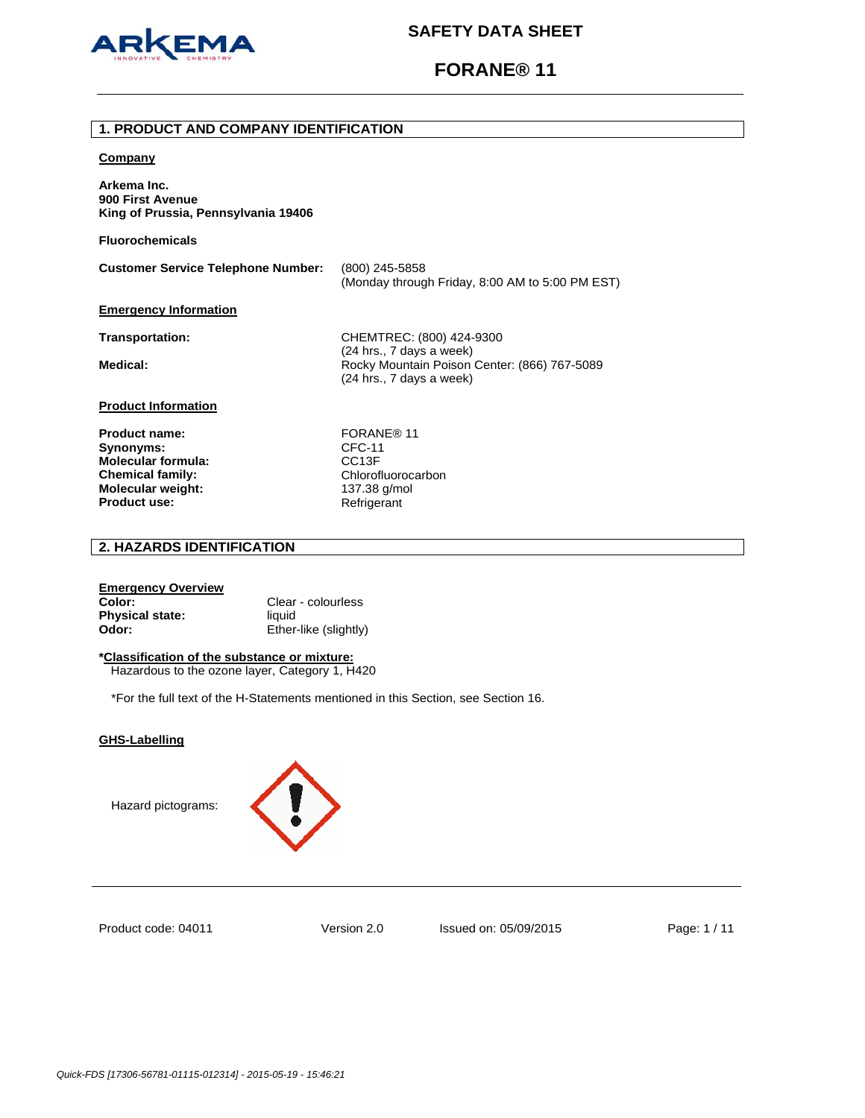

## **FORANE® 11**

## **1. PRODUCT AND COMPANY IDENTIFICATION**

### **Company**

**Arkema Inc. 900 First Avenue King of Prussia, Pennsylvania 19406** 

**Fluorochemicals**

| <b>Customer Service Telephone Number:</b> | (800) 245-5858<br>(Monday through Friday, 8:00 AM to 5:00 PM EST) |
|-------------------------------------------|-------------------------------------------------------------------|
| <b>Emergency Information</b>              |                                                                   |

**Transportation:** CHEMTREC: (800) 424-9300 (24 hrs., 7 days a week) Medical: **Medical: Rocky Mountain Poison Center: (866) 767-5089** (24 hrs., 7 days a week)

## **Product Information**

**Product name:** FORANE® 11 **Synonyms:** CFC-11 **Molecular formula:** CC13F<br> **Chemical family:** Chlorofluorocarbon **Chemical family: Molecular weight:** 137.38 g/mol<br> **Product use:** 137.38 Refrigerant **Product use:** 

## **2. HAZARDS IDENTIFICATION**

## **Emergency Overview Color:** Clear - colourless **Physical state:** liquid **Odor:** Ether-like (slightly)

## **\*Classification of the substance or mixture:**

Hazardous to the ozone layer, Category 1, H420

\*For the full text of the H-Statements mentioned in this Section, see Section 16.

## **GHS-Labelling**

Hazard pictograms:



Product code: 04011

Version 2.0 Issued on: 05/09/2015 Page: 1 / 11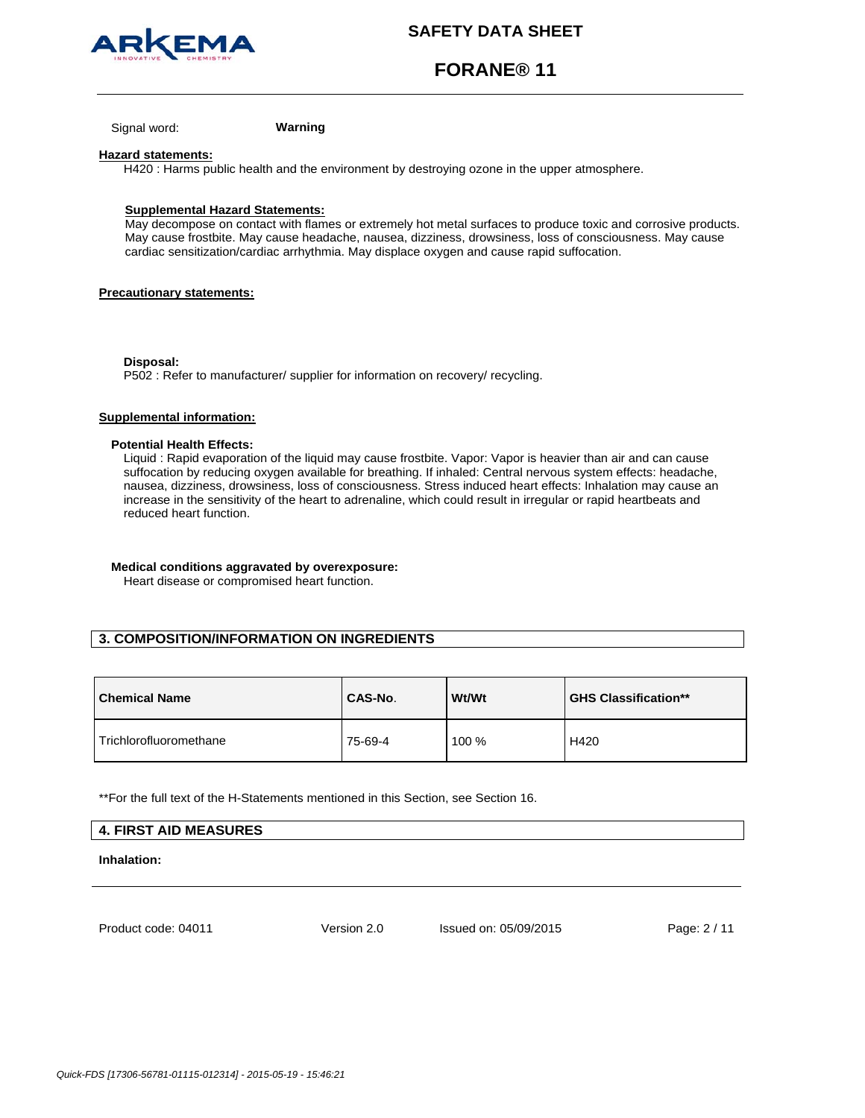

# **FORANE® 11**

Signal word: **Warning**

### **Hazard statements:**

H420 : Harms public health and the environment by destroying ozone in the upper atmosphere.

## **Supplemental Hazard Statements:**

May decompose on contact with flames or extremely hot metal surfaces to produce toxic and corrosive products. May cause frostbite. May cause headache, nausea, dizziness, drowsiness, loss of consciousness. May cause cardiac sensitization/cardiac arrhythmia. May displace oxygen and cause rapid suffocation.

## **Precautionary statements:**

#### **Disposal:**

P502 : Refer to manufacturer/ supplier for information on recovery/ recycling.

## **Supplemental information:**

### **Potential Health Effects:**

Liquid : Rapid evaporation of the liquid may cause frostbite. Vapor: Vapor is heavier than air and can cause suffocation by reducing oxygen available for breathing. If inhaled: Central nervous system effects: headache, nausea, dizziness, drowsiness, loss of consciousness. Stress induced heart effects: Inhalation may cause an increase in the sensitivity of the heart to adrenaline, which could result in irregular or rapid heartbeats and reduced heart function.

## **Medical conditions aggravated by overexposure:**

Heart disease or compromised heart function.

## **3. COMPOSITION/INFORMATION ON INGREDIENTS**

| <b>Chemical Name</b>   | CAS-No. | Wt/Wt | <b>GHS Classification**</b> |
|------------------------|---------|-------|-----------------------------|
| Trichlorofluoromethane | 75-69-4 | 100 % | H420                        |

\*\*For the full text of the H-Statements mentioned in this Section, see Section 16.

## **4. FIRST AID MEASURES**

**Inhalation:** 

Product code: 04011

Version 2.0 Issued on: 05/09/2015 Page: 2 / 11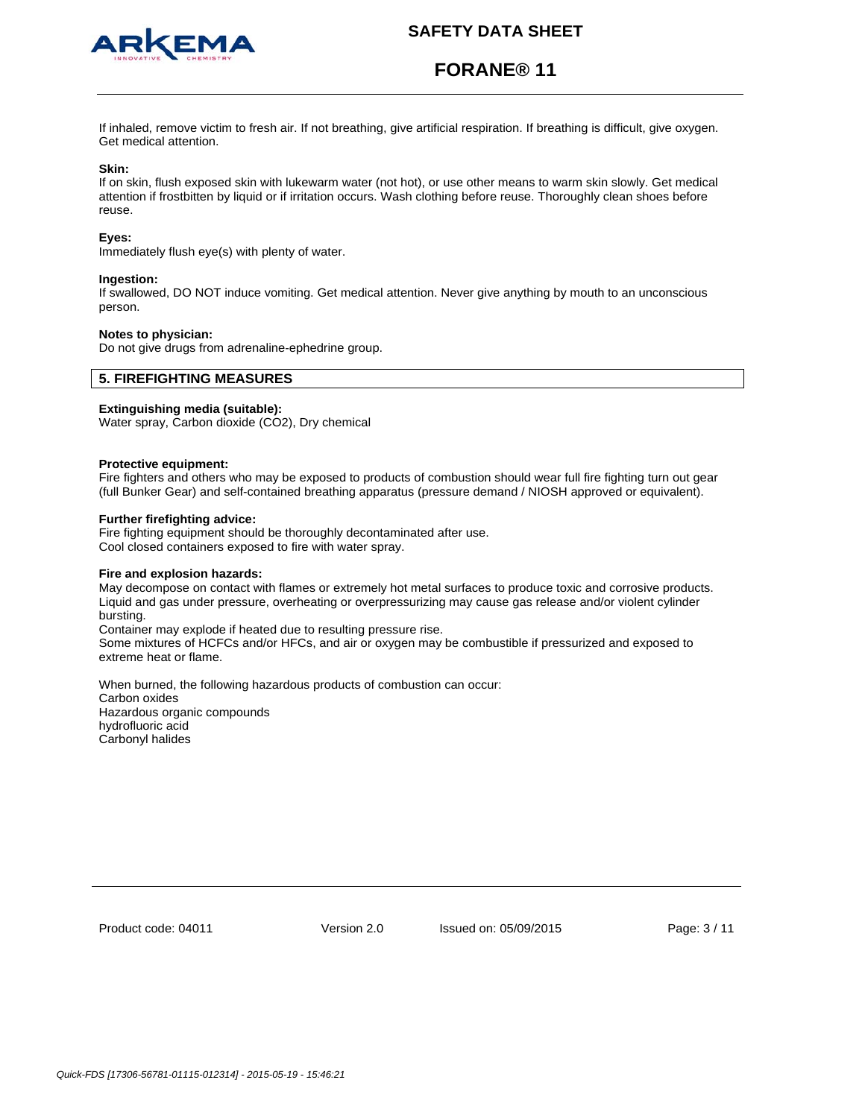

# **FORANE® 11**

If inhaled, remove victim to fresh air. If not breathing, give artificial respiration. If breathing is difficult, give oxygen. Get medical attention.

### **Skin:**

If on skin, flush exposed skin with lukewarm water (not hot), or use other means to warm skin slowly. Get medical attention if frostbitten by liquid or if irritation occurs. Wash clothing before reuse. Thoroughly clean shoes before reuse.

### **Eyes:**

Immediately flush eye(s) with plenty of water.

#### **Ingestion:**

If swallowed, DO NOT induce vomiting. Get medical attention. Never give anything by mouth to an unconscious person.

### **Notes to physician:**

Do not give drugs from adrenaline-ephedrine group.

## **5. FIREFIGHTING MEASURES**

## **Extinguishing media (suitable):**

Water spray, Carbon dioxide (CO2), Dry chemical

### **Protective equipment:**

Fire fighters and others who may be exposed to products of combustion should wear full fire fighting turn out gear (full Bunker Gear) and self-contained breathing apparatus (pressure demand / NIOSH approved or equivalent).

### **Further firefighting advice:**

Fire fighting equipment should be thoroughly decontaminated after use. Cool closed containers exposed to fire with water spray.

### **Fire and explosion hazards:**

May decompose on contact with flames or extremely hot metal surfaces to produce toxic and corrosive products. Liquid and gas under pressure, overheating or overpressurizing may cause gas release and/or violent cylinder bursting.

Container may explode if heated due to resulting pressure rise.

Some mixtures of HCFCs and/or HFCs, and air or oxygen may be combustible if pressurized and exposed to extreme heat or flame.

When burned, the following hazardous products of combustion can occur: Carbon oxides Hazardous organic compounds hydrofluoric acid Carbonyl halides

Product code: 04011

Version 2.0 Issued on: 05/09/2015 Page: 3 / 11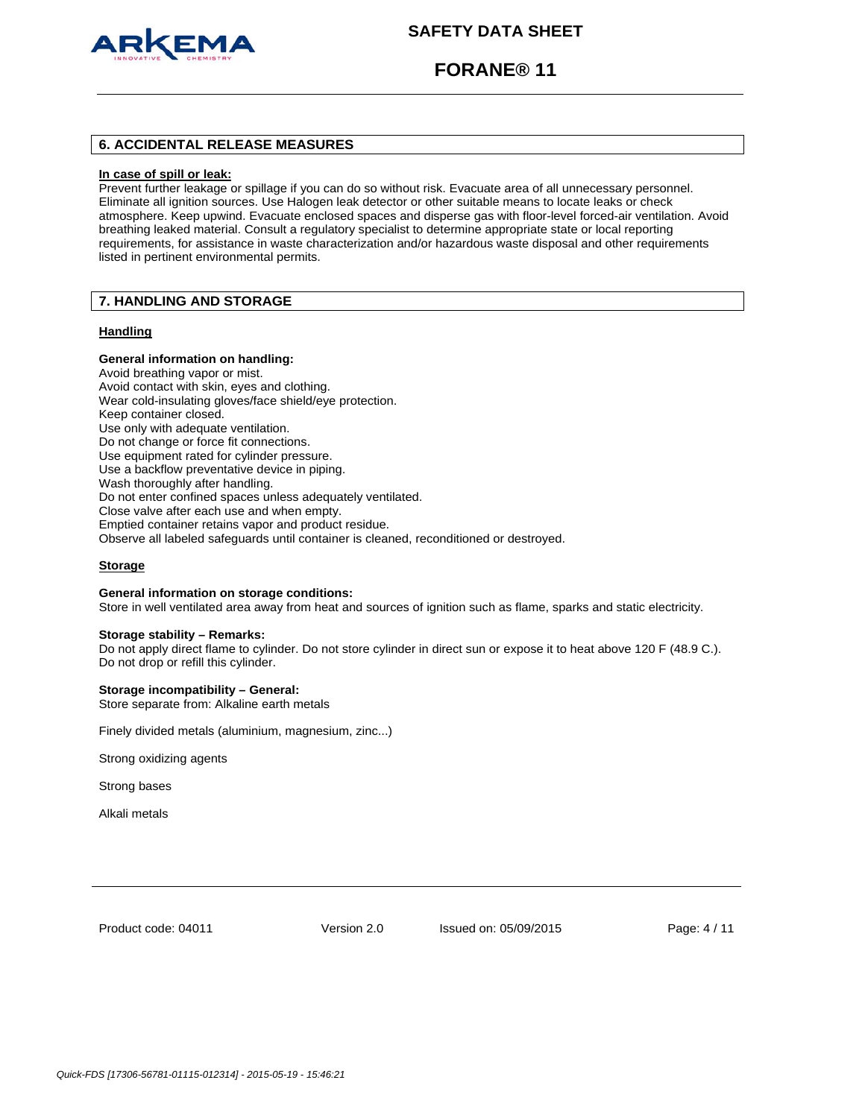

# **FORANE® 11**

## **6. ACCIDENTAL RELEASE MEASURES**

#### **In case of spill or leak:**

Prevent further leakage or spillage if you can do so without risk. Evacuate area of all unnecessary personnel. Eliminate all ignition sources. Use Halogen leak detector or other suitable means to locate leaks or check atmosphere. Keep upwind. Evacuate enclosed spaces and disperse gas with floor-level forced-air ventilation. Avoid breathing leaked material. Consult a regulatory specialist to determine appropriate state or local reporting requirements, for assistance in waste characterization and/or hazardous waste disposal and other requirements listed in pertinent environmental permits.

## **7. HANDLING AND STORAGE**

### **Handling**

## **General information on handling:**

Avoid breathing vapor or mist. Avoid contact with skin, eyes and clothing. Wear cold-insulating gloves/face shield/eye protection. Keep container closed. Use only with adequate ventilation. Do not change or force fit connections. Use equipment rated for cylinder pressure. Use a backflow preventative device in piping. Wash thoroughly after handling. Do not enter confined spaces unless adequately ventilated. Close valve after each use and when empty. Emptied container retains vapor and product residue. Observe all labeled safeguards until container is cleaned, reconditioned or destroyed.

#### **Storage**

#### **General information on storage conditions:**

Store in well ventilated area away from heat and sources of ignition such as flame, sparks and static electricity.

### **Storage stability – Remarks:**

Do not apply direct flame to cylinder. Do not store cylinder in direct sun or expose it to heat above 120 F (48.9 C.). Do not drop or refill this cylinder.

### **Storage incompatibility – General:**

Store separate from: Alkaline earth metals

Finely divided metals (aluminium, magnesium, zinc...)

Strong oxidizing agents

Strong bases

Alkali metals

Product code: 04011

Version 2.0 Issued on: 05/09/2015 Page: 4 / 11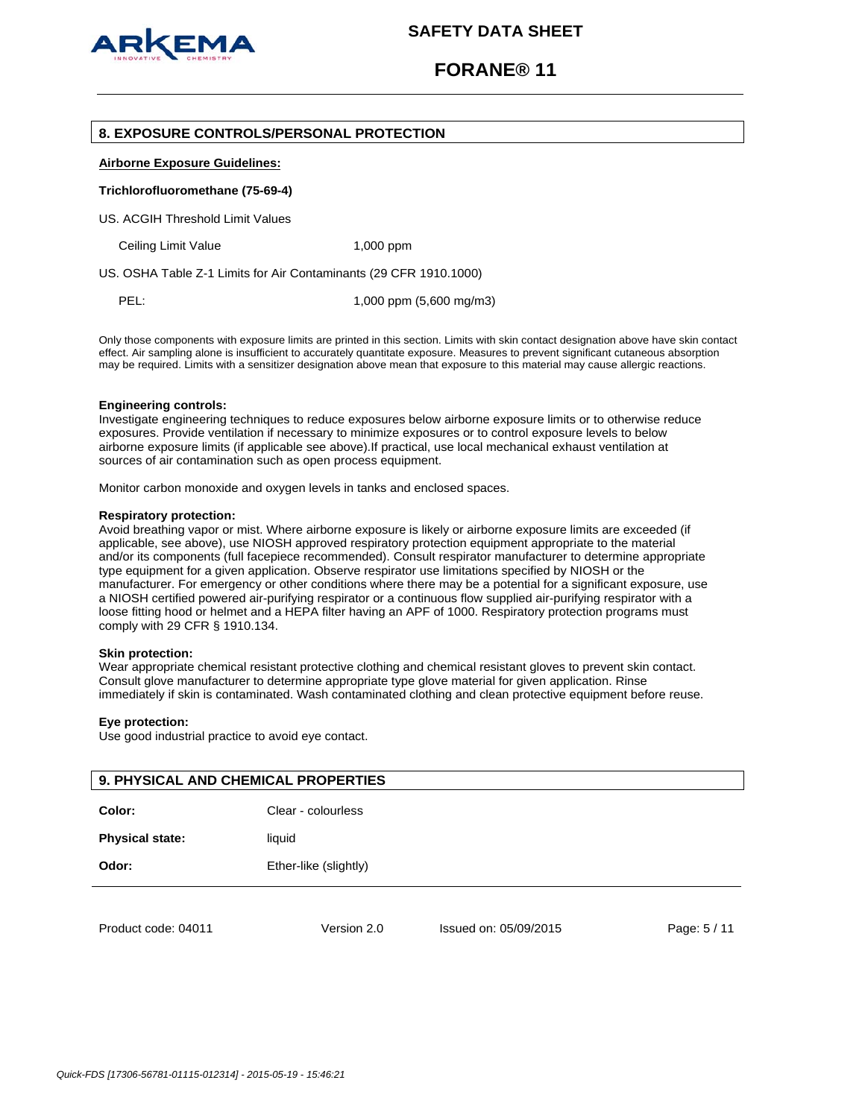

## **FORANE® 11**

## **8. EXPOSURE CONTROLS/PERSONAL PROTECTION**

### **Airborne Exposure Guidelines:**

#### **Trichlorofluoromethane (75-69-4)**

US. ACGIH Threshold Limit Values

Ceiling Limit Value 1,000 ppm

US. OSHA Table Z-1 Limits for Air Contaminants (29 CFR 1910.1000)

PEL: 1,000 ppm (5,600 mg/m3)

Only those components with exposure limits are printed in this section. Limits with skin contact designation above have skin contact effect. Air sampling alone is insufficient to accurately quantitate exposure. Measures to prevent significant cutaneous absorption may be required. Limits with a sensitizer designation above mean that exposure to this material may cause allergic reactions.

### **Engineering controls:**

Investigate engineering techniques to reduce exposures below airborne exposure limits or to otherwise reduce exposures. Provide ventilation if necessary to minimize exposures or to control exposure levels to below airborne exposure limits (if applicable see above).If practical, use local mechanical exhaust ventilation at sources of air contamination such as open process equipment.

Monitor carbon monoxide and oxygen levels in tanks and enclosed spaces.

#### **Respiratory protection:**

Avoid breathing vapor or mist. Where airborne exposure is likely or airborne exposure limits are exceeded (if applicable, see above), use NIOSH approved respiratory protection equipment appropriate to the material and/or its components (full facepiece recommended). Consult respirator manufacturer to determine appropriate type equipment for a given application. Observe respirator use limitations specified by NIOSH or the manufacturer. For emergency or other conditions where there may be a potential for a significant exposure, use a NIOSH certified powered air-purifying respirator or a continuous flow supplied air-purifying respirator with a loose fitting hood or helmet and a HEPA filter having an APF of 1000. Respiratory protection programs must comply with 29 CFR § 1910.134.

#### **Skin protection:**

Wear appropriate chemical resistant protective clothing and chemical resistant gloves to prevent skin contact. Consult glove manufacturer to determine appropriate type glove material for given application. Rinse immediately if skin is contaminated. Wash contaminated clothing and clean protective equipment before reuse.

#### **Eye protection:**

Use good industrial practice to avoid eye contact.

| <b>9. PHYSICAL AND CHEMICAL PROPERTIES</b> |                       |                       |              |  |
|--------------------------------------------|-----------------------|-----------------------|--------------|--|
| Color:                                     | Clear - colourless    |                       |              |  |
| <b>Physical state:</b>                     | liquid                |                       |              |  |
| Odor:                                      | Ether-like (slightly) |                       |              |  |
|                                            |                       |                       |              |  |
| Product code: 04011                        | Version 2.0           | Issued on: 05/09/2015 | Page: 5 / 11 |  |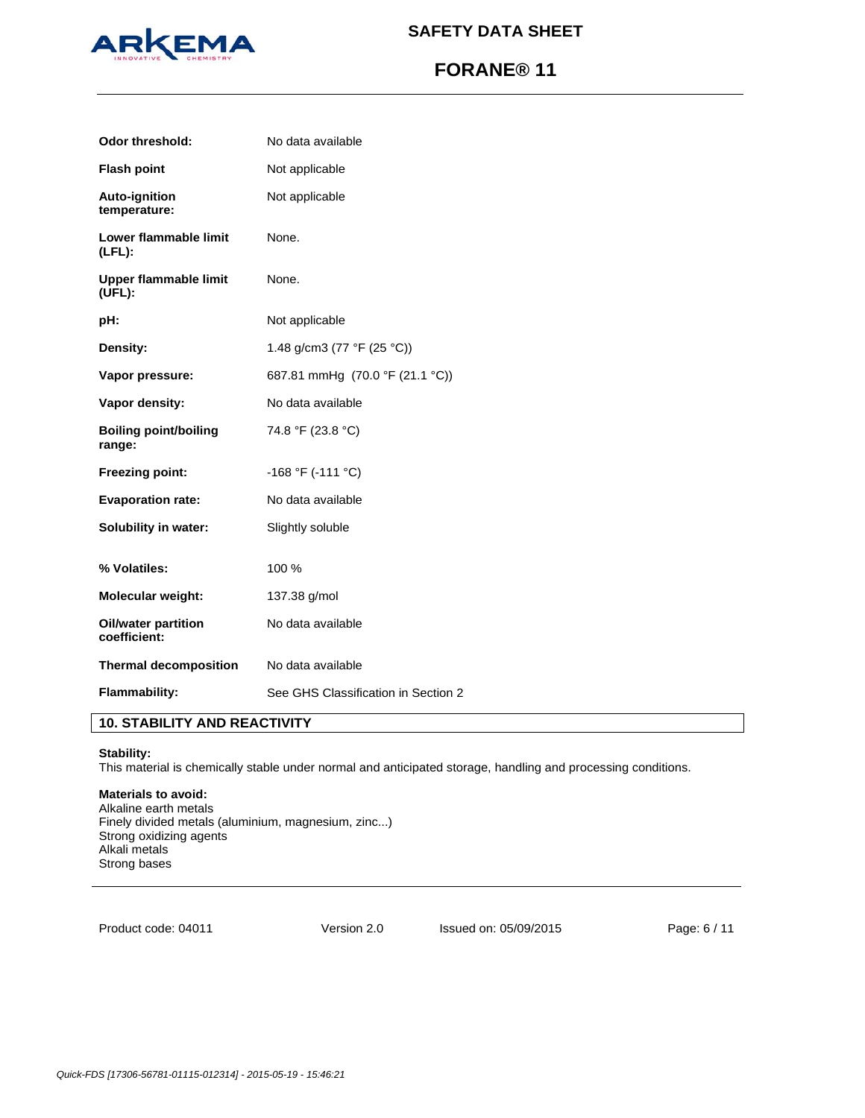

# **FORANE® 11**

| <b>Odor threshold:</b>                 | No data available                   |
|----------------------------------------|-------------------------------------|
| <b>Flash point</b>                     | Not applicable                      |
| Auto-ignition<br>temperature:          | Not applicable                      |
| Lower flammable limit<br>$(LFL)$ :     | None.                               |
| Upper flammable limit<br>(UFL):        | None.                               |
| pH:                                    | Not applicable                      |
| Density:                               | 1.48 g/cm3 (77 °F (25 °C))          |
| Vapor pressure:                        | 687.81 mmHg (70.0 °F (21.1 °C))     |
| Vapor density:                         | No data available                   |
| <b>Boiling point/boiling</b><br>range: | 74.8 °F (23.8 °C)                   |
| Freezing point:                        | $-168$ °F ( $-111$ °C)              |
| <b>Evaporation rate:</b>               | No data available                   |
| Solubility in water:                   | Slightly soluble                    |
| % Volatiles:                           | 100 %                               |
| <b>Molecular weight:</b>               | 137.38 g/mol                        |
| Oil/water partition<br>coefficient:    | No data available                   |
| <b>Thermal decomposition</b>           | No data available                   |
| <b>Flammability:</b>                   | See GHS Classification in Section 2 |

## **10. STABILITY AND REACTIVITY**

## **Stability:**

This material is chemically stable under normal and anticipated storage, handling and processing conditions.

## **Materials to avoid:**

Alkaline earth metals Finely divided metals (aluminium, magnesium, zinc...) Strong oxidizing agents Alkali metals Strong bases

Product code: 04011

Version 2.0 Issued on: 05/09/2015 Page: 6 / 11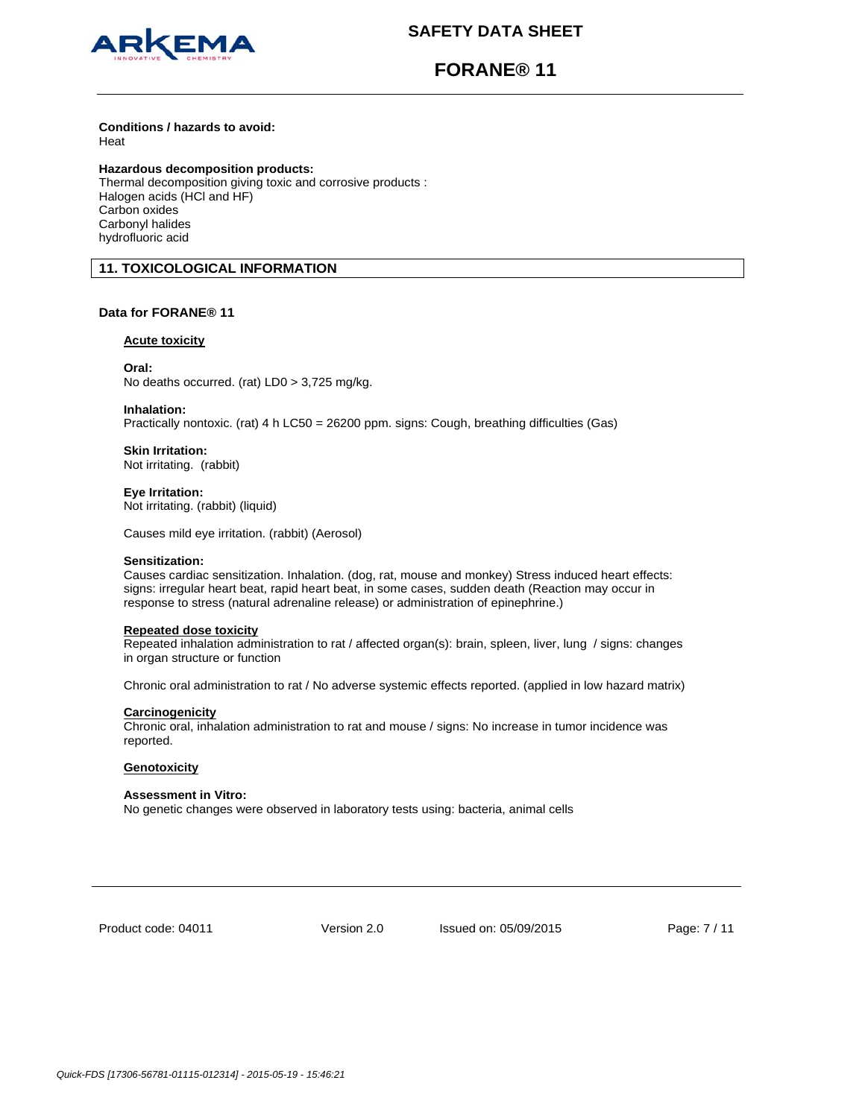

# **FORANE® 11**

### **Conditions / hazards to avoid:**  Heat

**Hazardous decomposition products:** 

Thermal decomposition giving toxic and corrosive products : Halogen acids (HCl and HF) Carbon oxides Carbonyl halides hydrofluoric acid

## **11. TOXICOLOGICAL INFORMATION**

## **Data for FORANE® 11**

## **Acute toxicity**

## **Oral:**

No deaths occurred. (rat) LD0 > 3,725 mg/kg.

## **Inhalation:**

Practically nontoxic. (rat) 4 h LC50 = 26200 ppm. signs: Cough, breathing difficulties (Gas)

## **Skin Irritation:**

Not irritating. (rabbit)

## **Eye Irritation:**

Not irritating. (rabbit) (liquid)

Causes mild eye irritation. (rabbit) (Aerosol)

## **Sensitization:**

Causes cardiac sensitization. Inhalation. (dog, rat, mouse and monkey) Stress induced heart effects: signs: irregular heart beat, rapid heart beat, in some cases, sudden death (Reaction may occur in response to stress (natural adrenaline release) or administration of epinephrine.)

## **Repeated dose toxicity**

Repeated inhalation administration to rat / affected organ(s): brain, spleen, liver, lung / signs: changes in organ structure or function

Chronic oral administration to rat / No adverse systemic effects reported. (applied in low hazard matrix)

## **Carcinogenicity**

Chronic oral, inhalation administration to rat and mouse / signs: No increase in tumor incidence was reported.

## **Genotoxicity**

## **Assessment in Vitro:**

No genetic changes were observed in laboratory tests using: bacteria, animal cells

Product code: 04011

Version 2.0 Issued on: 05/09/2015 Page: 7 / 11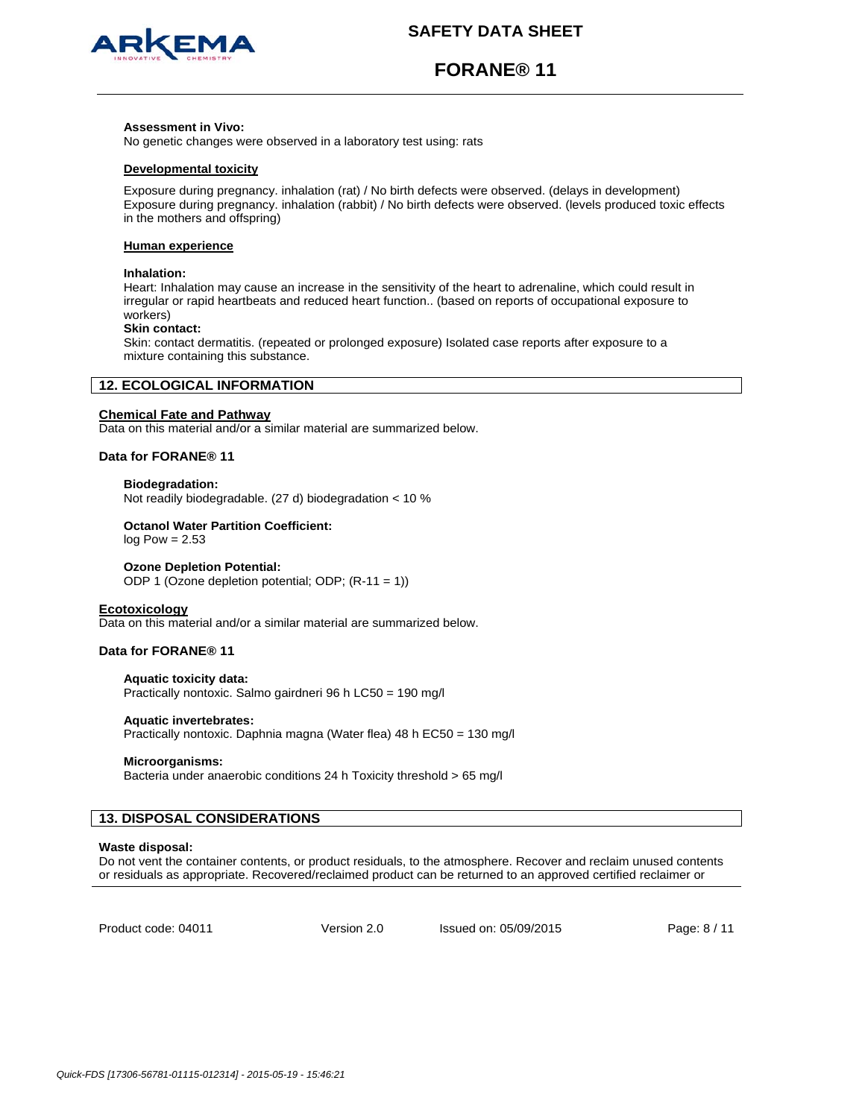

# **FORANE® 11**

#### **Assessment in Vivo:**

No genetic changes were observed in a laboratory test using: rats

### **Developmental toxicity**

Exposure during pregnancy. inhalation (rat) / No birth defects were observed. (delays in development) Exposure during pregnancy. inhalation (rabbit) / No birth defects were observed. (levels produced toxic effects in the mothers and offspring)

#### **Human experience**

#### **Inhalation:**

Heart: Inhalation may cause an increase in the sensitivity of the heart to adrenaline, which could result in irregular or rapid heartbeats and reduced heart function.. (based on reports of occupational exposure to workers)

### **Skin contact:**

Skin: contact dermatitis. (repeated or prolonged exposure) Isolated case reports after exposure to a mixture containing this substance.

## **12. ECOLOGICAL INFORMATION**

### **Chemical Fate and Pathway**

Data on this material and/or a similar material are summarized below.

## **Data for FORANE® 11**

### **Biodegradation:**

Not readily biodegradable. (27 d) biodegradation < 10 %

### **Octanol Water Partition Coefficient:**

 $log Pow = 2.53$ 

### **Ozone Depletion Potential:**

ODP 1 (Ozone depletion potential; ODP; (R-11 = 1))

#### **Ecotoxicology**

Data on this material and/or a similar material are summarized below.

## **Data for FORANE® 11**

## **Aquatic toxicity data:**

Practically nontoxic. Salmo gairdneri 96 h LC50 = 190 mg/l

## **Aquatic invertebrates:**

Practically nontoxic. Daphnia magna (Water flea) 48 h EC50 = 130 mg/l

#### **Microorganisms:**

Bacteria under anaerobic conditions 24 h Toxicity threshold > 65 mg/l

## **13. DISPOSAL CONSIDERATIONS**

#### **Waste disposal:**

Do not vent the container contents, or product residuals, to the atmosphere. Recover and reclaim unused contents or residuals as appropriate. Recovered/reclaimed product can be returned to an approved certified reclaimer or

Product code: 04011

Version 2.0 Issued on: 05/09/2015 Page: 8 / 11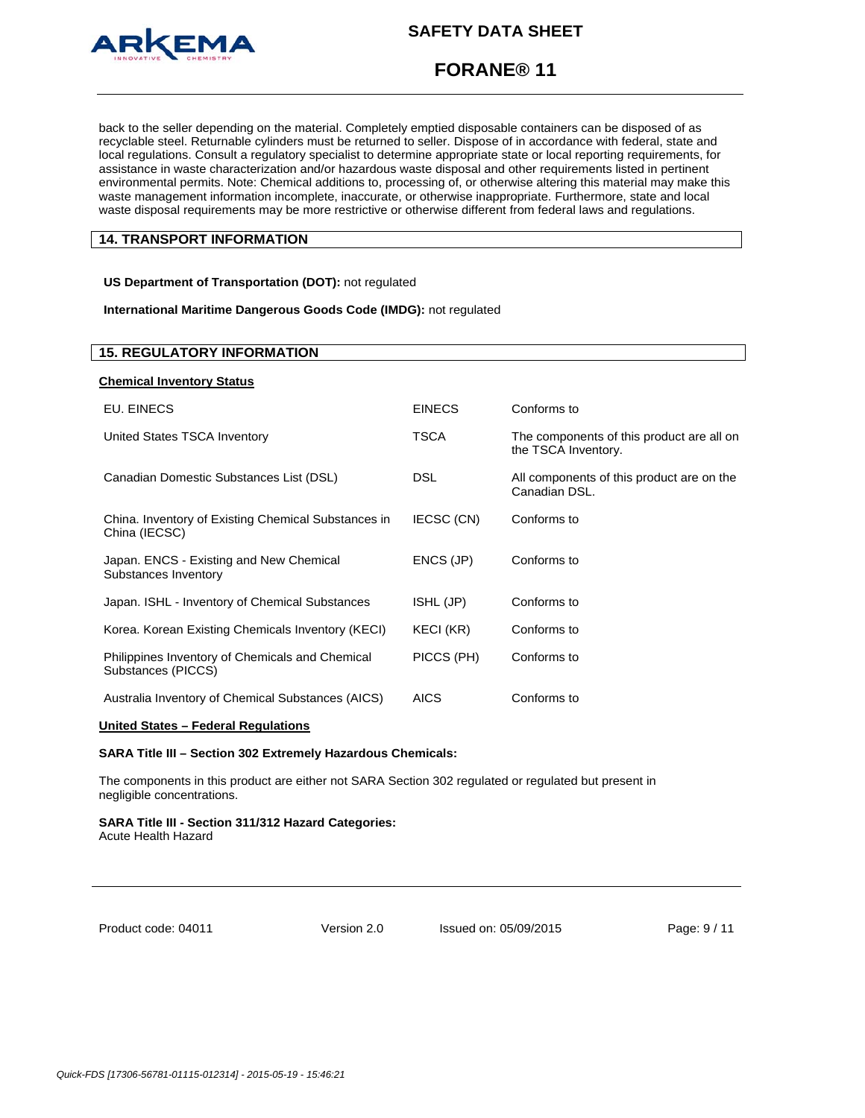

# **FORANE® 11**

back to the seller depending on the material. Completely emptied disposable containers can be disposed of as recyclable steel. Returnable cylinders must be returned to seller. Dispose of in accordance with federal, state and local regulations. Consult a regulatory specialist to determine appropriate state or local reporting requirements, for assistance in waste characterization and/or hazardous waste disposal and other requirements listed in pertinent environmental permits. Note: Chemical additions to, processing of, or otherwise altering this material may make this waste management information incomplete, inaccurate, or otherwise inappropriate. Furthermore, state and local waste disposal requirements may be more restrictive or otherwise different from federal laws and regulations.

## **14. TRANSPORT INFORMATION**

**US Department of Transportation (DOT):** not regulated

**International Maritime Dangerous Goods Code (IMDG):** not regulated

## **15. REGULATORY INFORMATION**

| <b>Chemical Inventory Status</b>                                      |               |                                                                  |
|-----------------------------------------------------------------------|---------------|------------------------------------------------------------------|
| EU. EINECS                                                            | <b>EINECS</b> | Conforms to                                                      |
| United States TSCA Inventory                                          | <b>TSCA</b>   | The components of this product are all on<br>the TSCA Inventory. |
| Canadian Domestic Substances List (DSL)                               | <b>DSL</b>    | All components of this product are on the<br>Canadian DSL.       |
| China. Inventory of Existing Chemical Substances in<br>China (IECSC)  | IECSC (CN)    | Conforms to                                                      |
| Japan. ENCS - Existing and New Chemical<br>Substances Inventory       | ENCS (JP)     | Conforms to                                                      |
| Japan. ISHL - Inventory of Chemical Substances                        | ISHL (JP)     | Conforms to                                                      |
| Korea. Korean Existing Chemicals Inventory (KECI)                     | KECI (KR)     | Conforms to                                                      |
| Philippines Inventory of Chemicals and Chemical<br>Substances (PICCS) | PICCS (PH)    | Conforms to                                                      |
| Australia Inventory of Chemical Substances (AICS)                     | <b>AICS</b>   | Conforms to                                                      |

## **United States – Federal Regulations**

### **SARA Title III – Section 302 Extremely Hazardous Chemicals:**

The components in this product are either not SARA Section 302 regulated or regulated but present in negligible concentrations.

# **SARA Title III - Section 311/312 Hazard Categories:**

Acute Health Hazard

Product code: 04011

Version 2.0 Issued on: 05/09/2015 Page: 9 / 11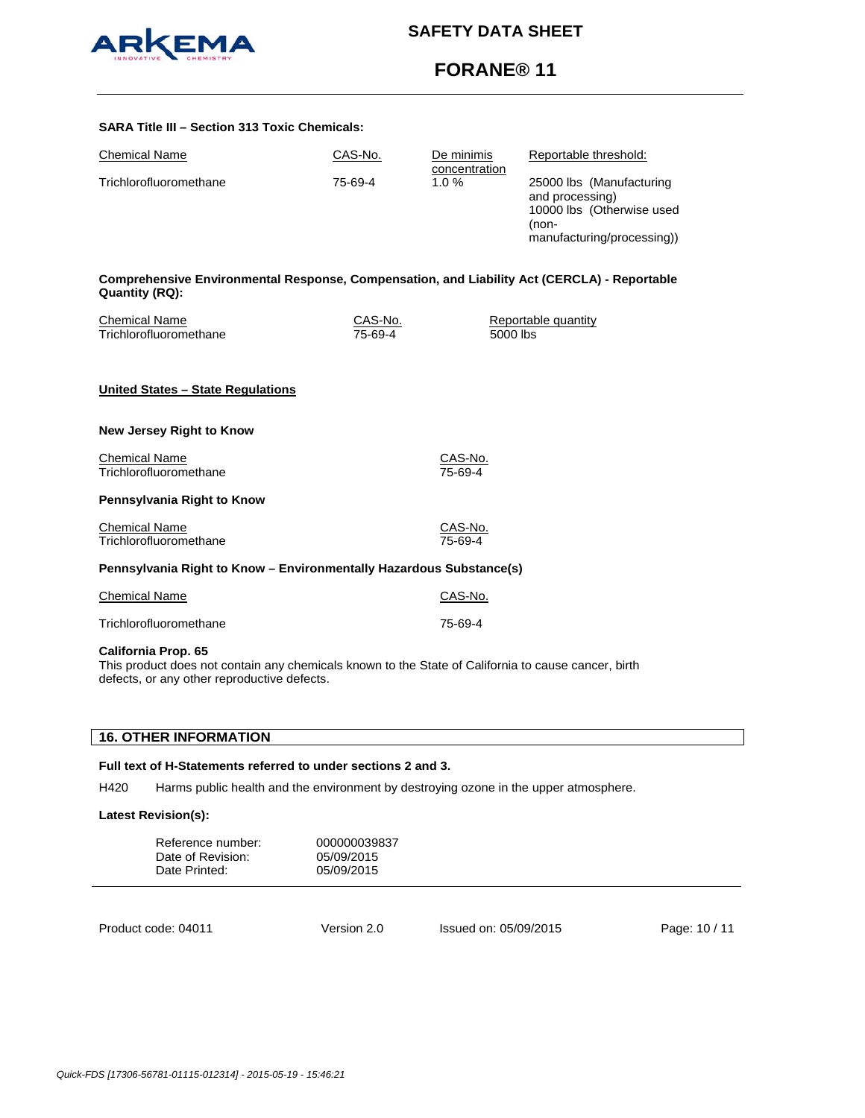

# **FORANE® 11**

| <b>SARA Title III - Section 313 Toxic Chemicals:</b>                                                                 |                           |                                 |                                                                                                                 |  |
|----------------------------------------------------------------------------------------------------------------------|---------------------------|---------------------------------|-----------------------------------------------------------------------------------------------------------------|--|
| <b>Chemical Name</b>                                                                                                 | CAS-No.                   | De minimis                      | Reportable threshold:                                                                                           |  |
| Trichlorofluoromethane                                                                                               | 75-69-4                   | concentration<br>1.0%           | 25000 lbs (Manufacturing<br>and processing)<br>10000 lbs (Otherwise used<br>(non-<br>manufacturing/processing)) |  |
| Comprehensive Environmental Response, Compensation, and Liability Act (CERCLA) - Reportable<br><b>Quantity (RQ):</b> |                           |                                 |                                                                                                                 |  |
| <b>Chemical Name</b><br>Trichlorofluoromethane                                                                       | <u>CAS-No.</u><br>75-69-4 | Reportable quantity<br>5000 lbs |                                                                                                                 |  |
| United States - State Regulations                                                                                    |                           |                                 |                                                                                                                 |  |
| <b>New Jersey Right to Know</b>                                                                                      |                           |                                 |                                                                                                                 |  |
| <b>Chemical Name</b><br>Trichlorofluoromethane                                                                       |                           | CAS-No.<br>75-69-4              |                                                                                                                 |  |
| Pennsylvania Right to Know                                                                                           |                           |                                 |                                                                                                                 |  |
| <b>Chemical Name</b><br>Trichlorofluoromethane                                                                       |                           | CAS-No.<br>75-69-4              |                                                                                                                 |  |
| Pennsylvania Right to Know - Environmentally Hazardous Substance(s)                                                  |                           |                                 |                                                                                                                 |  |
| <b>Chemical Name</b>                                                                                                 |                           | CAS-No.                         |                                                                                                                 |  |
| Trichlorofluoromethane                                                                                               |                           | 75-69-4                         |                                                                                                                 |  |

## **California Prop. 65**

This product does not contain any chemicals known to the State of California to cause cancer, birth defects, or any other reproductive defects.

## **16. OTHER INFORMATION**

## **Full text of H-Statements referred to under sections 2 and 3.**

H420 Harms public health and the environment by destroying ozone in the upper atmosphere.

## **Latest Revision(s):**

| Reference number:<br>Date of Revision:<br>Date Printed: | 000000039837<br>05/09/2015<br>05/09/2015 |                       |               |
|---------------------------------------------------------|------------------------------------------|-----------------------|---------------|
| Product code: 04011                                     | Version 2.0                              | Issued on: 05/09/2015 | Page: 10 / 11 |